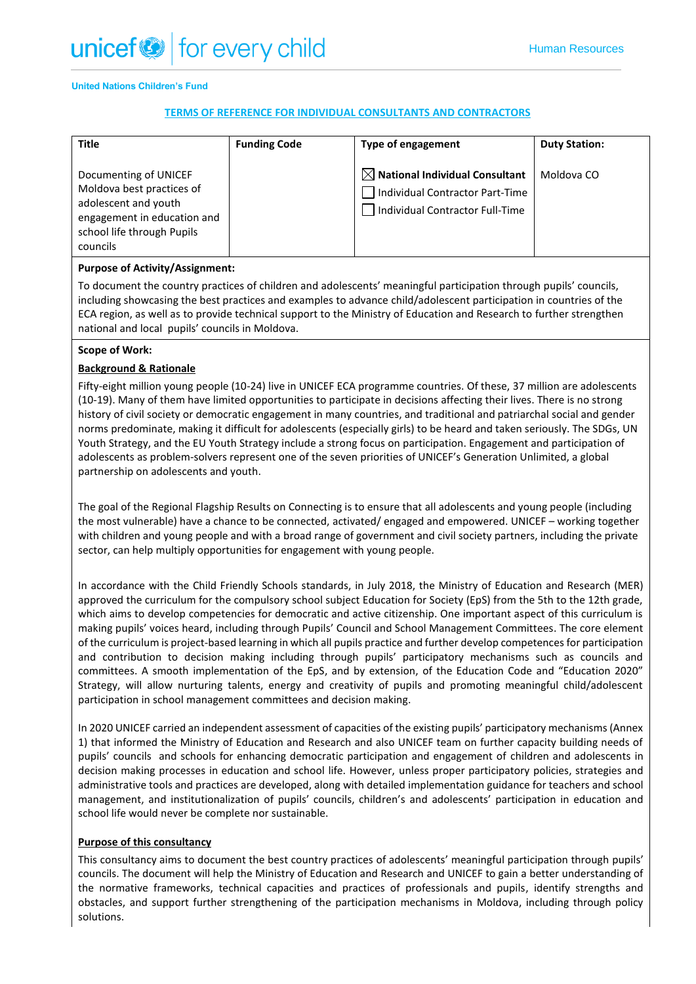#### **United Nations Children's Fund**

## **TERMS OF REFERENCE FOR INDIVIDUAL CONSULTANTS AND CONTRACTORS**

| <b>Title</b>                                                                                                                                        | <b>Funding Code</b> | Type of engagement                                                                                               | <b>Duty Station:</b> |
|-----------------------------------------------------------------------------------------------------------------------------------------------------|---------------------|------------------------------------------------------------------------------------------------------------------|----------------------|
| Documenting of UNICEF<br>Moldova best practices of<br>adolescent and youth<br>engagement in education and<br>school life through Pupils<br>councils |                     | $\boxtimes$ National Individual Consultant<br>Individual Contractor Part-Time<br>Individual Contractor Full-Time | Moldova CO           |

### **Purpose of Activity/Assignment:**

To document the country practices of children and adolescents' meaningful participation through pupils' councils, including showcasing the best practices and examples to advance child/adolescent participation in countries of the ECA region, as well as to provide technical support to the Ministry of Education and Research to further strengthen national and local pupils' councils in Moldova.

### **Scope of Work:**

## **Background & Rationale**

Fifty-eight million young people (10-24) live in UNICEF ECA programme countries. Of these, 37 million are adolescents (10-19). Many of them have limited opportunities to participate in decisions affecting their lives. There is no strong history of civil society or democratic engagement in many countries, and traditional and patriarchal social and gender norms predominate, making it difficult for adolescents (especially girls) to be heard and taken seriously. The SDGs, UN Youth Strategy, and the EU Youth Strategy include a strong focus on participation. Engagement and participation of adolescents as problem-solvers represent one of the seven priorities of UNICEF's Generation Unlimited, a global partnership on adolescents and youth.

The goal of the Regional Flagship Results on Connecting is to ensure that all adolescents and young people (including the most vulnerable) have a chance to be connected, activated/ engaged and empowered. UNICEF – working together with children and young people and with a broad range of government and civil society partners, including the private sector, can help multiply opportunities for engagement with young people.

In accordance with the Child Friendly Schools standards, in July 2018, the Ministry of Education and Research (MER) approved the curriculum for the compulsory school subject Education for Society (EpS) from the 5th to the 12th grade, which aims to develop competencies for democratic and active citizenship. One important aspect of this curriculum is making pupils' voices heard, including through Pupils' Council and School Management Committees. The core element of the curriculum is project-based learning in which all pupils practice and further develop competences for participation and contribution to decision making including through pupils' participatory mechanisms such as councils and committees. A smooth implementation of the EpS, and by extension, of the Education Code and "Education 2020" Strategy, will allow nurturing talents, energy and creativity of pupils and promoting meaningful child/adolescent participation in school management committees and decision making.

In 2020 UNICEF carried an independent assessment of capacities of the existing pupils' participatory mechanisms (Annex 1) that informed the Ministry of Education and Research and also UNICEF team on further capacity building needs of pupils' councils and schools for enhancing democratic participation and engagement of children and adolescents in decision making processes in education and school life. However, unless proper participatory policies, strategies and administrative tools and practices are developed, along with detailed implementation guidance for teachers and school management, and institutionalization of pupils' councils, children's and adolescents' participation in education and school life would never be complete nor sustainable.

### **Purpose of this consultancy**

This consultancy aims to document the best country practices of adolescents' meaningful participation through pupils' councils. The document will help the Ministry of Education and Research and UNICEF to gain a better understanding of the normative frameworks, technical capacities and practices of professionals and pupils, identify strengths and obstacles, and support further strengthening of the participation mechanisms in Moldova, including through policy solutions.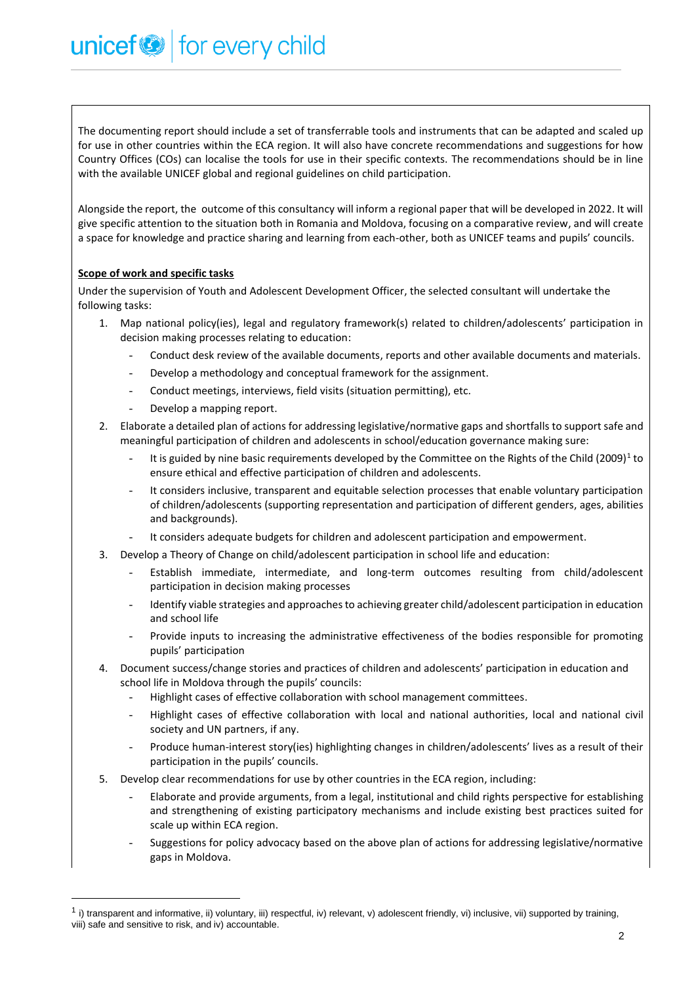The documenting report should include a set of transferrable tools and instruments that can be adapted and scaled up for use in other countries within the ECA region. It will also have concrete recommendations and suggestions for how Country Offices (COs) can localise the tools for use in their specific contexts. The recommendations should be in line with the available UNICEF global and regional guidelines on child participation.

Alongside the report, the outcome of this consultancy will inform a regional paper that will be developed in 2022. It will give specific attention to the situation both in Romania and Moldova, focusing on a comparative review, and will create a space for knowledge and practice sharing and learning from each-other, both as UNICEF teams and pupils' councils.

# **Scope of work and specific tasks**

Under the supervision of Youth and Adolescent Development Officer, the selected consultant will undertake the following tasks:

- 1. Map national policy(ies), legal and regulatory framework(s) related to children/adolescents' participation in decision making processes relating to education:
	- Conduct desk review of the available documents, reports and other available documents and materials.
	- Develop a methodology and conceptual framework for the assignment.
	- Conduct meetings, interviews, field visits (situation permitting), etc.
	- Develop a mapping report.

unicef<sup>®</sup> for every child

- 2. Elaborate a detailed plan of actions for addressing legislative/normative gaps and shortfalls to support safe and meaningful participation of children and adolescents in school/education governance making sure:
	- It is guided by nine basic requirements developed by the Committee on the Rights of the Child (2009)<sup>1</sup> to ensure ethical and effective participation of children and adolescents.
	- It considers inclusive, transparent and equitable selection processes that enable voluntary participation of children/adolescents (supporting representation and participation of different genders, ages, abilities and backgrounds).
	- It considers adequate budgets for children and adolescent participation and empowerment.
- 3. Develop a Theory of Change on child/adolescent participation in school life and education:
	- Establish immediate, intermediate, and long-term outcomes resulting from child/adolescent participation in decision making processes
	- Identify viable strategies and approaches to achieving greater child/adolescent participation in education and school life
	- Provide inputs to increasing the administrative effectiveness of the bodies responsible for promoting pupils' participation
- 4. Document success/change stories and practices of children and adolescents' participation in education and school life in Moldova through the pupils' councils:
	- Highlight cases of effective collaboration with school management committees.
	- Highlight cases of effective collaboration with local and national authorities, local and national civil society and UN partners, if any.
	- Produce human-interest story(ies) highlighting changes in children/adolescents' lives as a result of their participation in the pupils' councils.
- 5. Develop clear recommendations for use by other countries in the ECA region, including:
	- Elaborate and provide arguments, from a legal, institutional and child rights perspective for establishing and strengthening of existing participatory mechanisms and include existing best practices suited for scale up within ECA region.
	- Suggestions for policy advocacy based on the above plan of actions for addressing legislative/normative gaps in Moldova.

<sup>&</sup>lt;sup>1</sup> i) transparent and informative, ii) voluntary, iii) respectful, iv) relevant, v) adolescent friendly, vi) inclusive, vii) supported by training, viii) safe and sensitive to risk, and iv) accountable.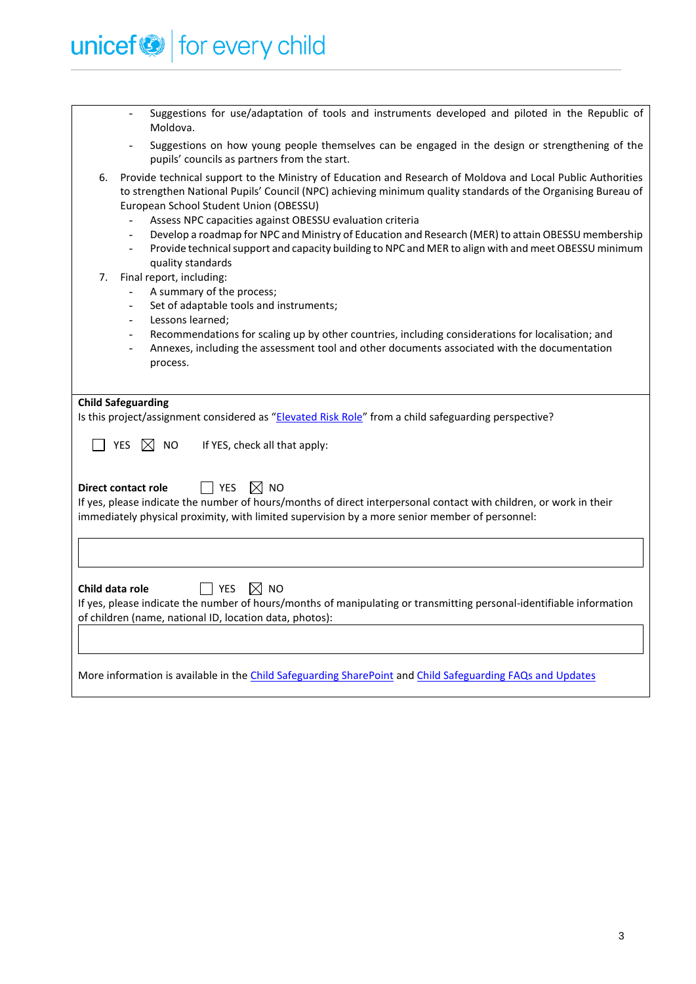

| Suggestions for use/adaptation of tools and instruments developed and piloted in the Republic of<br>$\blacksquare$<br>Moldova.                                                                                                                                                                                                                                                                                                                                                                                                                                                                                                            |
|-------------------------------------------------------------------------------------------------------------------------------------------------------------------------------------------------------------------------------------------------------------------------------------------------------------------------------------------------------------------------------------------------------------------------------------------------------------------------------------------------------------------------------------------------------------------------------------------------------------------------------------------|
| Suggestions on how young people themselves can be engaged in the design or strengthening of the<br>pupils' councils as partners from the start.                                                                                                                                                                                                                                                                                                                                                                                                                                                                                           |
| Provide technical support to the Ministry of Education and Research of Moldova and Local Public Authorities<br>6.<br>to strengthen National Pupils' Council (NPC) achieving minimum quality standards of the Organising Bureau of<br>European School Student Union (OBESSU)<br>Assess NPC capacities against OBESSU evaluation criteria<br>Develop a roadmap for NPC and Ministry of Education and Research (MER) to attain OBESSU membership<br>Provide technical support and capacity building to NPC and MER to align with and meet OBESSU minimum<br>quality standards<br>Final report, including:<br>7.<br>A summary of the process; |
| Set of adaptable tools and instruments;<br>$\overline{\phantom{a}}$                                                                                                                                                                                                                                                                                                                                                                                                                                                                                                                                                                       |
| Lessons learned;<br>Recommendations for scaling up by other countries, including considerations for localisation; and<br>$\sim$<br>Annexes, including the assessment tool and other documents associated with the documentation<br>process.                                                                                                                                                                                                                                                                                                                                                                                               |
| <b>Child Safeguarding</b>                                                                                                                                                                                                                                                                                                                                                                                                                                                                                                                                                                                                                 |
| Is this project/assignment considered as "Elevated Risk Role" from a child safeguarding perspective?                                                                                                                                                                                                                                                                                                                                                                                                                                                                                                                                      |
| <b>YES</b><br>$\bowtie$<br><b>NO</b><br>If YES, check all that apply:                                                                                                                                                                                                                                                                                                                                                                                                                                                                                                                                                                     |
| <b>YES</b><br>$\bowtie$ No<br><b>Direct contact role</b><br>If yes, please indicate the number of hours/months of direct interpersonal contact with children, or work in their<br>immediately physical proximity, with limited supervision by a more senior member of personnel:                                                                                                                                                                                                                                                                                                                                                          |
|                                                                                                                                                                                                                                                                                                                                                                                                                                                                                                                                                                                                                                           |
| Child data role<br>YES<br>$\boxtimes$<br><b>NO</b><br>If yes, please indicate the number of hours/months of manipulating or transmitting personal-identifiable information<br>of children (name, national ID, location data, photos):                                                                                                                                                                                                                                                                                                                                                                                                     |
|                                                                                                                                                                                                                                                                                                                                                                                                                                                                                                                                                                                                                                           |
| More information is available in the Child Safeguarding SharePoint and Child Safeguarding FAQs and Updates                                                                                                                                                                                                                                                                                                                                                                                                                                                                                                                                |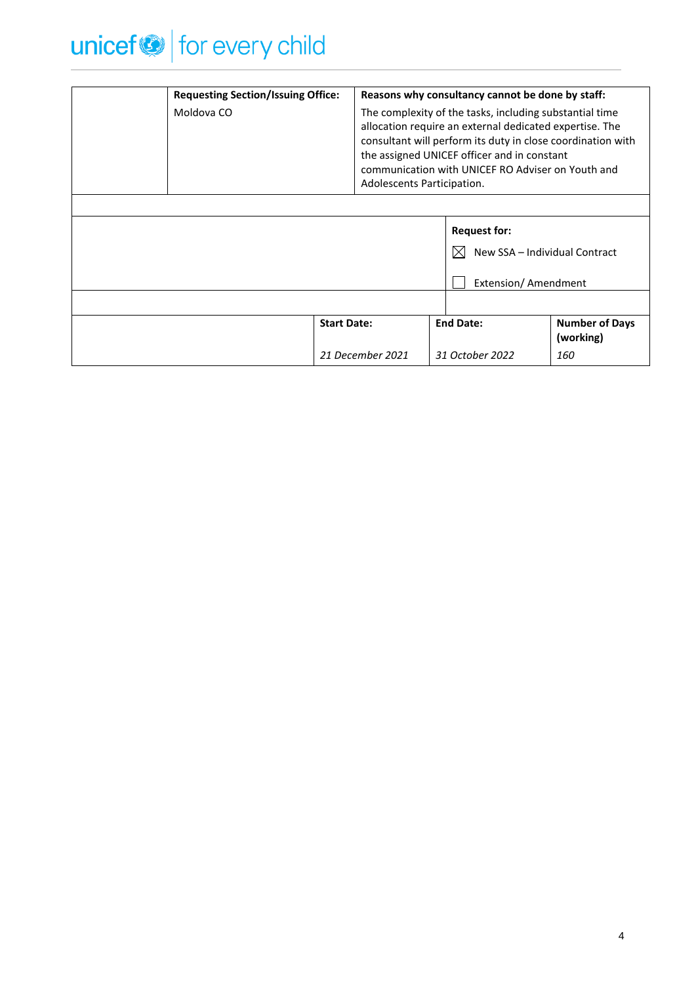

| <b>Requesting Section/Issuing Office:</b> |                    | Reasons why consultancy cannot be done by staff:                                                                                                                                                                                                                                                                    |                                    |  |
|-------------------------------------------|--------------------|---------------------------------------------------------------------------------------------------------------------------------------------------------------------------------------------------------------------------------------------------------------------------------------------------------------------|------------------------------------|--|
| Moldova CO                                |                    | The complexity of the tasks, including substantial time<br>allocation require an external dedicated expertise. The<br>consultant will perform its duty in close coordination with<br>the assigned UNICEF officer and in constant<br>communication with UNICEF RO Adviser on Youth and<br>Adolescents Participation. |                                    |  |
|                                           |                    |                                                                                                                                                                                                                                                                                                                     |                                    |  |
|                                           |                    | <b>Request for:</b>                                                                                                                                                                                                                                                                                                 | New SSA - Individual Contract      |  |
|                                           |                    | Extension/ Amendment                                                                                                                                                                                                                                                                                                |                                    |  |
|                                           |                    |                                                                                                                                                                                                                                                                                                                     |                                    |  |
|                                           | <b>Start Date:</b> | <b>End Date:</b>                                                                                                                                                                                                                                                                                                    | <b>Number of Days</b><br>(working) |  |
|                                           | 21 December 2021   | 31 October 2022                                                                                                                                                                                                                                                                                                     | 160                                |  |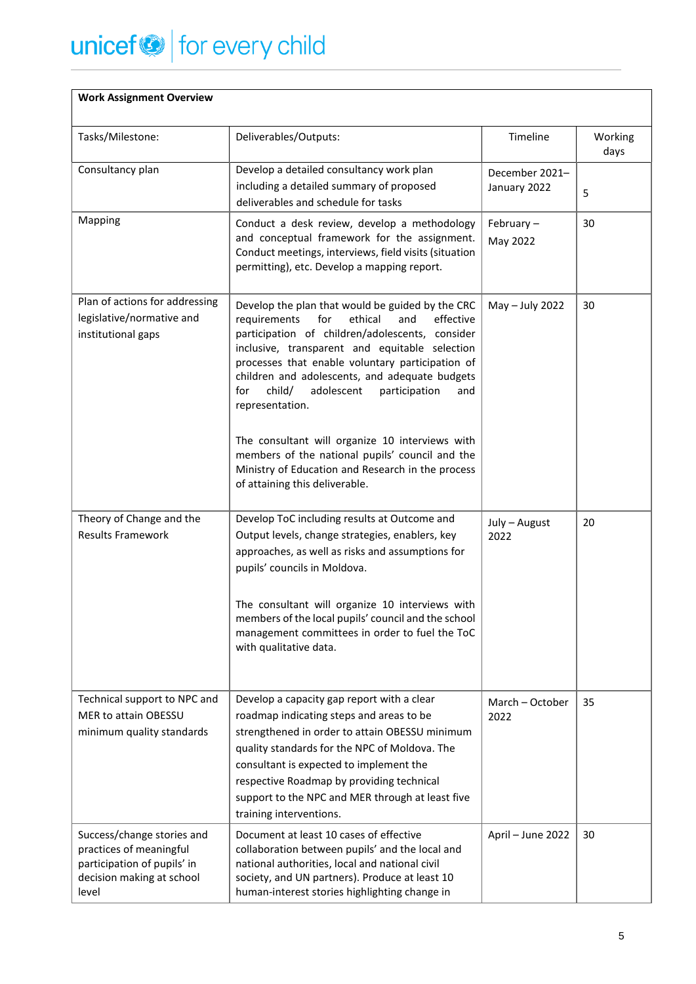# unicef<sup>or</sup> for every child

| <b>Work Assignment Overview</b>                                                                                            |                                                                                                                                                                                                                                                                                                                                                                                                                                                                                                                                                                                          |                                |                 |
|----------------------------------------------------------------------------------------------------------------------------|------------------------------------------------------------------------------------------------------------------------------------------------------------------------------------------------------------------------------------------------------------------------------------------------------------------------------------------------------------------------------------------------------------------------------------------------------------------------------------------------------------------------------------------------------------------------------------------|--------------------------------|-----------------|
| Tasks/Milestone:                                                                                                           | Deliverables/Outputs:                                                                                                                                                                                                                                                                                                                                                                                                                                                                                                                                                                    | Timeline                       | Working<br>days |
| Consultancy plan                                                                                                           | Develop a detailed consultancy work plan<br>including a detailed summary of proposed<br>deliverables and schedule for tasks                                                                                                                                                                                                                                                                                                                                                                                                                                                              | December 2021-<br>January 2022 | 5               |
| Mapping                                                                                                                    | Conduct a desk review, develop a methodology<br>and conceptual framework for the assignment.<br>Conduct meetings, interviews, field visits (situation<br>permitting), etc. Develop a mapping report.                                                                                                                                                                                                                                                                                                                                                                                     | February-<br>May 2022          | 30              |
| Plan of actions for addressing<br>legislative/normative and<br>institutional gaps                                          | Develop the plan that would be guided by the CRC<br>requirements<br>for<br>ethical<br>and<br>effective<br>participation of children/adolescents, consider<br>inclusive, transparent and equitable selection<br>processes that enable voluntary participation of<br>children and adolescents, and adequate budgets<br>child/<br>adolescent<br>participation<br>for<br>and<br>representation.<br>The consultant will organize 10 interviews with<br>members of the national pupils' council and the<br>Ministry of Education and Research in the process<br>of attaining this deliverable. | May - July 2022                | 30              |
| Theory of Change and the<br><b>Results Framework</b>                                                                       | Develop ToC including results at Outcome and<br>Output levels, change strategies, enablers, key<br>approaches, as well as risks and assumptions for<br>pupils' councils in Moldova.<br>The consultant will organize 10 interviews with                                                                                                                                                                                                                                                                                                                                                   | July - August<br>2022          | 20              |
|                                                                                                                            | members of the local pupils' council and the school<br>management committees in order to fuel the ToC<br>with qualitative data.                                                                                                                                                                                                                                                                                                                                                                                                                                                          |                                |                 |
| Technical support to NPC and<br>MER to attain OBESSU<br>minimum quality standards                                          | Develop a capacity gap report with a clear<br>roadmap indicating steps and areas to be<br>strengthened in order to attain OBESSU minimum<br>quality standards for the NPC of Moldova. The<br>consultant is expected to implement the<br>respective Roadmap by providing technical<br>support to the NPC and MER through at least five<br>training interventions.                                                                                                                                                                                                                         | March - October<br>2022        | 35              |
| Success/change stories and<br>practices of meaningful<br>participation of pupils' in<br>decision making at school<br>level | Document at least 10 cases of effective<br>collaboration between pupils' and the local and<br>national authorities, local and national civil<br>society, and UN partners). Produce at least 10<br>human-interest stories highlighting change in                                                                                                                                                                                                                                                                                                                                          | April - June 2022              | 30              |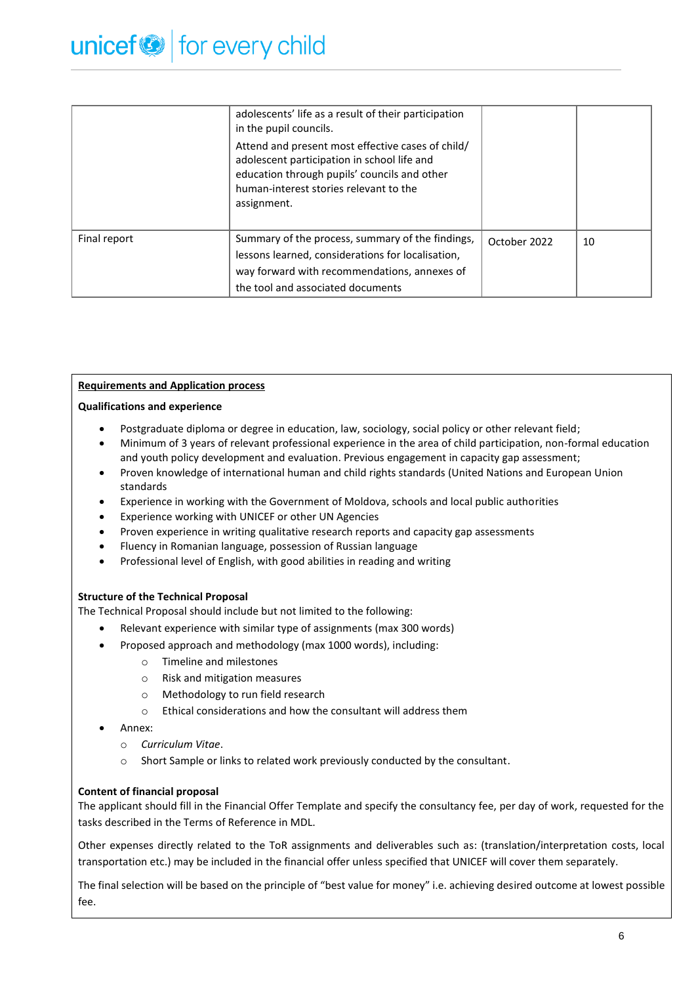|              | adolescents' life as a result of their participation<br>in the pupil councils.                                                                                                                            |              |    |
|--------------|-----------------------------------------------------------------------------------------------------------------------------------------------------------------------------------------------------------|--------------|----|
|              | Attend and present most effective cases of child/<br>adolescent participation in school life and<br>education through pupils' councils and other<br>human-interest stories relevant to the<br>assignment. |              |    |
| Final report | Summary of the process, summary of the findings,<br>lessons learned, considerations for localisation,<br>way forward with recommendations, annexes of<br>the tool and associated documents                | October 2022 | 10 |

# **Requirements and Application process**

## **Qualifications and experience**

- Postgraduate diploma or degree in education, law, sociology, social policy or other relevant field;
- Minimum of 3 years of relevant professional experience in the area of child participation, non-formal education and youth policy development and evaluation. Previous engagement in capacity gap assessment;
- Proven knowledge of international human and child rights standards (United Nations and European Union standards
- Experience in working with the Government of Moldova, schools and local public authorities
- Experience working with UNICEF or other UN Agencies
- Proven experience in writing qualitative research reports and capacity gap assessments
- Fluency in Romanian language, possession of Russian language
- Professional level of English, with good abilities in reading and writing

# **Structure of the Technical Proposal**

The Technical Proposal should include but not limited to the following:

- Relevant experience with similar type of assignments (max 300 words)
- Proposed approach and methodology (max 1000 words), including:
	- o Timeline and milestones
	- o Risk and mitigation measures
	- o Methodology to run field research
	- o Ethical considerations and how the consultant will address them
- Annex:
	- o *Curriculum Vitae*.
	- o Short Sample or links to related work previously conducted by the consultant.

# **Content of financial proposal**

The applicant should fill in the Financial Offer Template and specify the consultancy fee, per day of work, requested for the tasks described in the Terms of Reference in MDL.

Other expenses directly related to the ToR assignments and deliverables such as: (translation/interpretation costs, local transportation etc.) may be included in the financial offer unless specified that UNICEF will cover them separately.

The final selection will be based on the principle of "best value for money" i.e. achieving desired outcome at lowest possible fee.